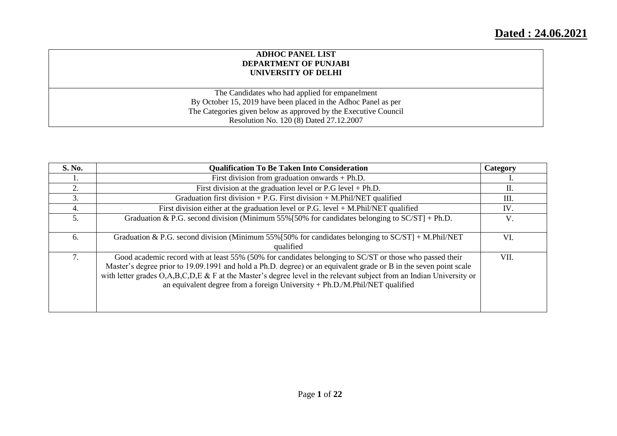# **Dated : 24.06.2021**

#### **ADHOC PANEL LIST DEPARTMENT OF PUNJABI UNIVERSITY OF DELHI**

The Candidates who had applied for empanelment By October 15, 2019 have been placed in the Adhoc Panel as per The Categories given below as approved by the Executive Council Resolution No. 120 (8) Dated 27.12.2007

| S. No. | <b>Qualification To Be Taken Into Consideration</b>                                                                                                                                                                                                                                                                                                                                                                                   | Category |
|--------|---------------------------------------------------------------------------------------------------------------------------------------------------------------------------------------------------------------------------------------------------------------------------------------------------------------------------------------------------------------------------------------------------------------------------------------|----------|
|        | First division from graduation onwards $+ Ph.D.$                                                                                                                                                                                                                                                                                                                                                                                      |          |
| 2.     | First division at the graduation level or $P.G$ level + $Ph.D.$                                                                                                                                                                                                                                                                                                                                                                       | П.       |
| 3.     | Graduation first division $+$ P.G. First division $+$ M.Phil/NET qualified                                                                                                                                                                                                                                                                                                                                                            | Ш.       |
| 4.     | First division either at the graduation level or $P.G.$ level $+ M.Phi1/NET$ qualified                                                                                                                                                                                                                                                                                                                                                | IV.      |
| 5.     | Graduation & P.G. second division (Minimum 55% [50% for candidates belonging to $SC/ST$ ] + Ph.D.                                                                                                                                                                                                                                                                                                                                     | V.       |
| 6.     | Graduation & P.G. second division (Minimum 55% [50% for candidates belonging to $SC/ST$ ] + M.Phil/NET<br>qualified                                                                                                                                                                                                                                                                                                                   | VI.      |
| 7.     | Good academic record with at least 55% (50% for candidates belonging to SC/ST or those who passed their<br>Master's degree prior to 19.09.1991 and hold a Ph.D. degree) or an equivalent grade or B in the seven point scale<br>with letter grades $O,A,B,C,D,E$ & F at the Master's degree level in the relevant subject from an Indian University or<br>an equivalent degree from a foreign University + Ph.D./M.Phil/NET qualified | VII.     |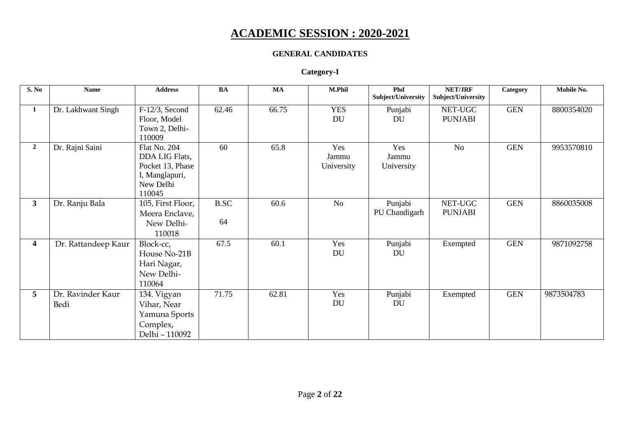# **ACADEMIC SESSION : 2020-2021**

### **GENERAL CANDIDATES**

#### **Category-I**

| S. No                   | <b>Name</b>               | <b>Address</b>                                                                                     | BA                | <b>MA</b> | M.Phil                     | Phd<br>Subject/University  | <b>NET/JRF</b><br>Subject/University | Category   | Mobile No. |
|-------------------------|---------------------------|----------------------------------------------------------------------------------------------------|-------------------|-----------|----------------------------|----------------------------|--------------------------------------|------------|------------|
| 1                       | Dr. Lakhwant Singh        | $F-12/3$ , Second<br>Floor, Model<br>Town 2, Delhi-<br>110009                                      | 62.46             | 66.75     | <b>YES</b><br>DU           | Punjabi<br>DU              | NET-UGC<br><b>PUNJABI</b>            | <b>GEN</b> | 8800354020 |
| $\overline{2}$          | Dr. Rajni Saini           | <b>Flat No. 204</b><br>DDA LIG Flats,<br>Pocket 13, Phase<br>I, Manglapuri,<br>New Delhi<br>110045 | 60                | 65.8      | Yes<br>Jammu<br>University | Yes<br>Jammu<br>University | N <sub>o</sub>                       | <b>GEN</b> | 9953570810 |
| $\mathbf{3}$            | Dr. Ranju Bala            | 105, First Floor,<br>Meera Enclave,<br>New Delhi-<br>110018                                        | <b>B.SC</b><br>64 | 60.6      | N <sub>o</sub>             | Punjabi<br>PU Chandigarh   | NET-UGC<br><b>PUNJABI</b>            | <b>GEN</b> | 8860035008 |
| $\overline{\mathbf{4}}$ | Dr. Rattandeep Kaur       | Block-cc,<br>House No-21B<br>Hari Nagar,<br>New Delhi-<br>110064                                   | 67.5              | 60.1      | Yes<br>DU                  | Punjabi<br>DU              | Exempted                             | <b>GEN</b> | 9871092758 |
| 5 <sup>5</sup>          | Dr. Ravinder Kaur<br>Bedi | 134. Vigyan<br>Vihar, Near<br>Yamuna Sports<br>Complex,<br>Delhi - 110092                          | 71.75             | 62.81     | Yes<br>DU                  | Punjabi<br><b>DU</b>       | Exempted                             | <b>GEN</b> | 9873504783 |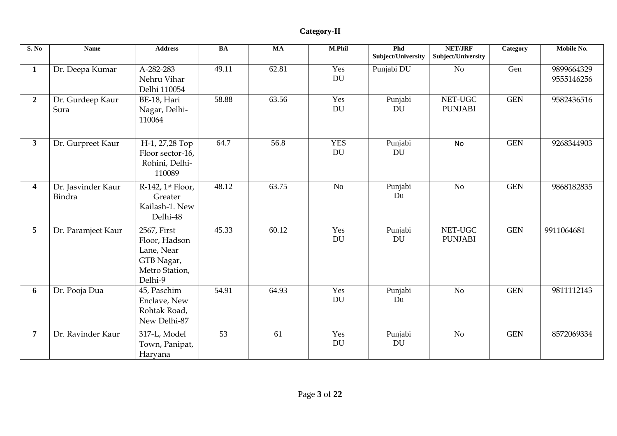| S. No                   | <b>Name</b>                  | <b>Address</b>                                                                        | BA              | <b>MA</b>       | M.Phil           | Phd<br>Subject/University | <b>NET/JRF</b><br>Subject/University | Category   | Mobile No.               |
|-------------------------|------------------------------|---------------------------------------------------------------------------------------|-----------------|-----------------|------------------|---------------------------|--------------------------------------|------------|--------------------------|
| $\mathbf{1}$            | Dr. Deepa Kumar              | A-282-283<br>Nehru Vihar<br>Delhi 110054                                              | 49.11           | 62.81           | Yes<br>DU        | Punjabi DU                | N <sub>o</sub>                       | Gen        | 9899664329<br>9555146256 |
| $\overline{2}$          | Dr. Gurdeep Kaur<br>Sura     | BE-18, Hari<br>Nagar, Delhi-<br>110064                                                | 58.88           | 63.56           | Yes<br>DU        | Punjabi<br>DU             | NET-UGC<br><b>PUNJABI</b>            | <b>GEN</b> | 9582436516               |
| 3 <sup>1</sup>          | Dr. Gurpreet Kaur            | H-1, 27,28 Top<br>Floor sector-16,<br>Rohini, Delhi-<br>110089                        | 64.7            | 56.8            | <b>YES</b><br>DU | Punjabi<br>DU             | <b>No</b>                            | <b>GEN</b> | 9268344903               |
| $\overline{\mathbf{4}}$ | Dr. Jasvinder Kaur<br>Bindra | R-142, 1st Floor,<br>Greater<br>Kailash-1. New<br>Delhi-48                            | 48.12           | 63.75           | N <sub>o</sub>   | Punjabi<br>Du             | N <sub>o</sub>                       | <b>GEN</b> | 9868182835               |
| 5 <sup>5</sup>          | Dr. Paramjeet Kaur           | 2567, First<br>Floor, Hadson<br>Lane, Near<br>GTB Nagar,<br>Metro Station,<br>Delhi-9 | 45.33           | 60.12           | Yes<br><b>DU</b> | Punjabi<br><b>DU</b>      | NET-UGC<br><b>PUNJABI</b>            | <b>GEN</b> | 9911064681               |
| 6                       | Dr. Pooja Dua                | 45, Paschim<br>Enclave, New<br>Rohtak Road,<br>New Delhi-87                           | 54.91           | 64.93           | Yes<br><b>DU</b> | Punjabi<br>Du             | N <sub>o</sub>                       | <b>GEN</b> | 9811112143               |
| $7\phantom{.0}$         | Dr. Ravinder Kaur            | 317-L, Model<br>Town, Panipat,<br>Haryana                                             | $\overline{53}$ | $\overline{61}$ | Yes<br>DU        | Punjabi<br>DU             | $\overline{No}$                      | <b>GEN</b> | 8572069334               |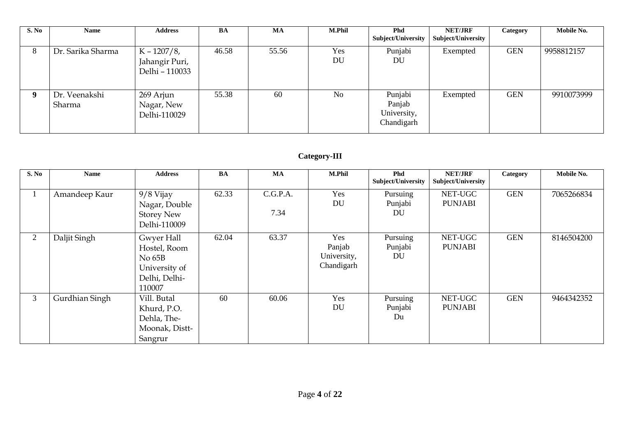| S. No       | <b>Name</b>             | <b>Address</b>                                     | BA    | <b>MA</b> | <b>M.Phil</b>  | <b>Phd</b><br>Subject/University               | NET/JRF<br>Subject/University | Category   | Mobile No. |
|-------------|-------------------------|----------------------------------------------------|-------|-----------|----------------|------------------------------------------------|-------------------------------|------------|------------|
| 8           | Dr. Sarika Sharma       | $K - 1207/8$ ,<br>Jahangir Puri,<br>Delhi - 110033 | 46.58 | 55.56     | Yes<br>DU      | Punjabi<br>DU                                  | Exempted                      | <b>GEN</b> | 9958812157 |
| $\mathbf Q$ | Dr. Veenakshi<br>Sharma | 269 Arjun<br>Nagar, New<br>Delhi-110029            | 55.38 | 60        | N <sub>o</sub> | Punjabi<br>Panjab<br>University,<br>Chandigarh | Exempted                      | <b>GEN</b> | 9910073999 |

### **Category-III**

| S. No          | <b>Name</b>    | <b>Address</b>                                                                   | <b>BA</b> | MA               | <b>M.Phil</b>                              | <b>Phd</b><br><b>Subject/University</b> | <b>NET/JRF</b><br>Subject/University | Category   | Mobile No. |
|----------------|----------------|----------------------------------------------------------------------------------|-----------|------------------|--------------------------------------------|-----------------------------------------|--------------------------------------|------------|------------|
|                | Amandeep Kaur  | 9/8 Vijay<br>Nagar, Double<br><b>Storey New</b><br>Delhi-110009                  | 62.33     | C.G.P.A.<br>7.34 | Yes<br>DU                                  | Pursuing<br>Punjabi<br><b>DU</b>        | NET-UGC<br><b>PUNJABI</b>            | <b>GEN</b> | 7065266834 |
| $\overline{2}$ | Daljit Singh   | Gwyer Hall<br>Hostel, Room<br>No 65B<br>University of<br>Delhi, Delhi-<br>110007 | 62.04     | 63.37            | Yes<br>Panjab<br>University,<br>Chandigarh | Pursuing<br>Punjabi<br>DU               | NET-UGC<br><b>PUNJABI</b>            | <b>GEN</b> | 8146504200 |
| 3              | Gurdhian Singh | Vill. Butal<br>Khurd, P.O.<br>Dehla, The-<br>Moonak, Distt-<br>Sangrur           | 60        | 60.06            | Yes<br>DU                                  | Pursuing<br>Punjabi<br>Du               | NET-UGC<br><b>PUNJABI</b>            | <b>GEN</b> | 9464342352 |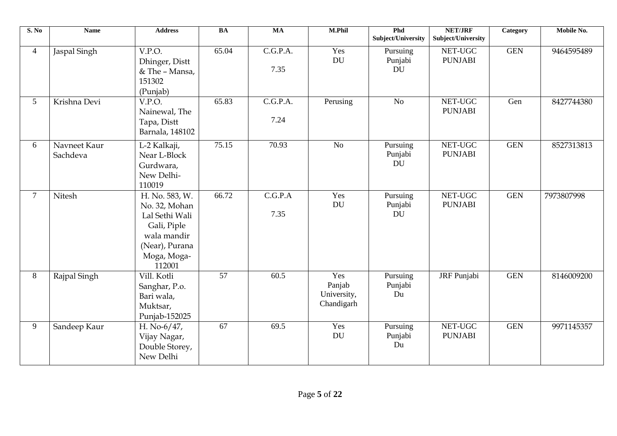| S. No           | <b>Name</b>              | <b>Address</b>                                                                                                             | <b>BA</b>       | <b>MA</b>                     | M.Phil                                     | Phd<br>Subject/University        | <b>NET/JRF</b><br>Subject/University | Category   | Mobile No. |
|-----------------|--------------------------|----------------------------------------------------------------------------------------------------------------------------|-----------------|-------------------------------|--------------------------------------------|----------------------------------|--------------------------------------|------------|------------|
| $\overline{4}$  | Jaspal Singh             | V.P.O.<br>Dhinger, Distt<br>& The - Mansa,<br>151302<br>(Punjab)                                                           | 65.04           | $\overline{C.G.P.A.}$<br>7.35 | Yes<br>DU                                  | Pursuing<br>Punjabi<br><b>DU</b> | NET-UGC<br><b>PUNJABI</b>            | <b>GEN</b> | 9464595489 |
| $5\overline{)}$ | Krishna Devi             | V.P.O.<br>Nainewal, The<br>Tapa, Distt<br>Barnala, 148102                                                                  | 65.83           | C.G.P.A.<br>7.24              | Perusing                                   | No                               | NET-UGC<br><b>PUNJABI</b>            | Gen        | 8427744380 |
| 6               | Navneet Kaur<br>Sachdeva | L-2 Kalkaji,<br>Near L-Block<br>Gurdwara,<br>New Delhi-<br>110019                                                          | 75.15           | 70.93                         | N <sub>o</sub>                             | Pursuing<br>Punjabi<br><b>DU</b> | NET-UGC<br><b>PUNJABI</b>            | <b>GEN</b> | 8527313813 |
| $\overline{7}$  | Nitesh                   | H. No. 583, W.<br>No. 32, Mohan<br>Lal Sethi Wali<br>Gali, Piple<br>wala mandir<br>(Near), Purana<br>Moga, Moga-<br>112001 | 66.72           | C.G.P.A<br>7.35               | Yes<br>DU                                  | Pursuing<br>Punjabi<br>DU        | NET-UGC<br><b>PUNJABI</b>            | <b>GEN</b> | 7973807998 |
| 8               | Rajpal Singh             | Vill. Kotli<br>Sanghar, P.o.<br>Bari wala,<br>Muktsar,<br>Punjab-152025                                                    | $\overline{57}$ | 60.5                          | Yes<br>Panjab<br>University,<br>Chandigarh | Pursuing<br>Punjabi<br>Du        | <b>JRF</b> Punjabi                   | <b>GEN</b> | 8146009200 |
| 9               | Sandeep Kaur             | H. No-6/47,<br>Vijay Nagar,<br>Double Storey,<br>New Delhi                                                                 | $\overline{67}$ | 69.5                          | Yes<br><b>DU</b>                           | Pursuing<br>Punjabi<br>Du        | NET-UGC<br><b>PUNJABI</b>            | <b>GEN</b> | 9971145357 |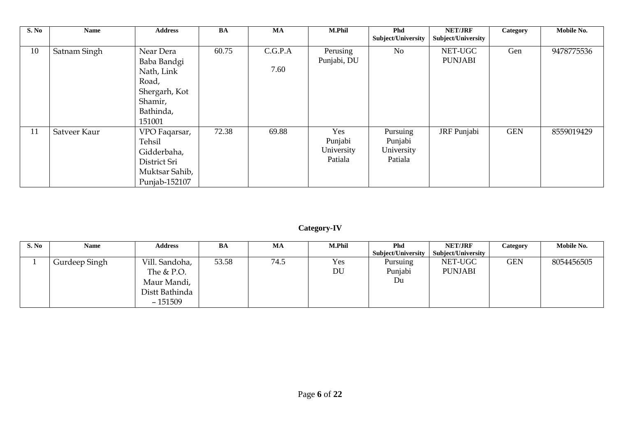| S. No | Name         | <b>Address</b>                                                                                     | <b>BA</b> | <b>MA</b>       | M.Phil                                  | <b>Phd</b><br>Subject/University             | <b>NET/JRF</b><br>Subject/University | Category   | Mobile No. |
|-------|--------------|----------------------------------------------------------------------------------------------------|-----------|-----------------|-----------------------------------------|----------------------------------------------|--------------------------------------|------------|------------|
| 10    | Satnam Singh | Near Dera<br>Baba Bandgi<br>Nath, Link<br>Road,<br>Shergarh, Kot<br>Shamir,<br>Bathinda,<br>151001 | 60.75     | C.G.P.A<br>7.60 | Perusing<br>Punjabi, DU                 | N <sub>o</sub>                               | NET-UGC<br><b>PUNJABI</b>            | Gen        | 9478775536 |
| 11    | Satveer Kaur | VPO Faqarsar,<br>Tehsil<br>Gidderbaha,<br>District Sri<br>Muktsar Sahib,<br>Punjab-152107          | 72.38     | 69.88           | Yes<br>Punjabi<br>University<br>Patiala | Pursuing<br>Punjabi<br>University<br>Patiala | JRF Punjabi                          | <b>GEN</b> | 8559019429 |

## **Category-IV**

| S. No | <b>Name</b>   | <b>Address</b> | BA    | MA   | <b>M.Phil</b> | <b>Phd</b>                | NET/JRF            | Category   | Mobile No. |
|-------|---------------|----------------|-------|------|---------------|---------------------------|--------------------|------------|------------|
|       |               |                |       |      |               | <b>Subject/University</b> | Subject/University |            |            |
|       | Gurdeep Singh | Vill. Sandoha, | 53.58 | 74.5 | Yes           | Pursuing                  | NET-UGC            | <b>GEN</b> | 8054456505 |
|       |               | The $&$ P.O.   |       |      | DU            | Punjabi                   | <b>PUNJABI</b>     |            |            |
|       |               | Maur Mandi,    |       |      |               | Du                        |                    |            |            |
|       |               | Distt Bathinda |       |      |               |                           |                    |            |            |
|       |               | $-151509$      |       |      |               |                           |                    |            |            |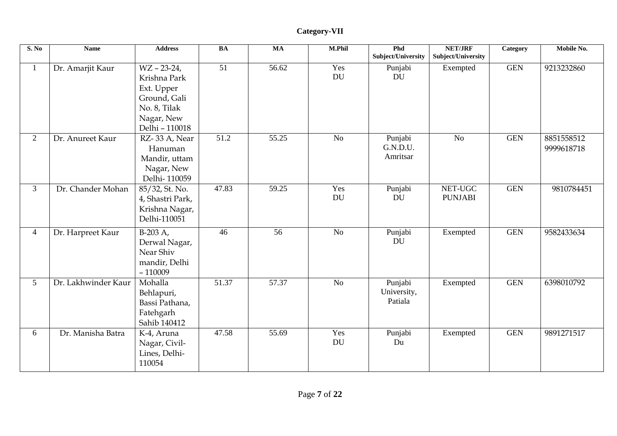| S. No           | <b>Name</b>         | <b>Address</b>                                                                                             | BA              | MA              | M.Phil           | Phd<br>Subject/University         | <b>NET/JRF</b><br><b>Subject/University</b> | Category   | Mobile No.               |
|-----------------|---------------------|------------------------------------------------------------------------------------------------------------|-----------------|-----------------|------------------|-----------------------------------|---------------------------------------------|------------|--------------------------|
| $\mathbf{1}$    | Dr. Amarjit Kaur    | $WZ - 23-24$<br>Krishna Park<br>Ext. Upper<br>Ground, Gali<br>No. 8, Tilak<br>Nagar, New<br>Delhi - 110018 | $\overline{51}$ | 56.62           | Yes<br><b>DU</b> | Punjabi<br><b>DU</b>              | Exempted                                    | <b>GEN</b> | 9213232860               |
| $\overline{2}$  | Dr. Anureet Kaur    | RZ-33 A, Near<br>Hanuman<br>Mandir, uttam<br>Nagar, New<br>Delhi-110059                                    | 51.2            | 55.25           | No               | Punjabi<br>G.N.D.U.<br>Amritsar   | No                                          | <b>GEN</b> | 8851558512<br>9999618718 |
| 3               | Dr. Chander Mohan   | 85/32, St. No.<br>4, Shastri Park,<br>Krishna Nagar,<br>Delhi-110051                                       | 47.83           | 59.25           | Yes<br>DU        | Punjabi<br>DU                     | NET-UGC<br><b>PUNJABI</b>                   | <b>GEN</b> | 9810784451               |
| $\overline{4}$  | Dr. Harpreet Kaur   | $B-203 A,$<br>Derwal Nagar,<br>Near Shiv<br>mandir, Delhi<br>$-110009$                                     | 46              | $\overline{56}$ | $\overline{No}$  | Punjabi<br><b>DU</b>              | Exempted                                    | <b>GEN</b> | 9582433634               |
| $5\overline{)}$ | Dr. Lakhwinder Kaur | Mohalla<br>Behlapuri,<br>Bassi Pathana,<br>Fatehgarh<br>Sahib 140412                                       | 51.37           | 57.37           | No               | Punjabi<br>University,<br>Patiala | Exempted                                    | <b>GEN</b> | 6398010792               |
| 6               | Dr. Manisha Batra   | K-4, Aruna<br>Nagar, Civil-<br>Lines, Delhi-<br>110054                                                     | 47.58           | 55.69           | Yes<br>DU        | Punjabi<br>Du                     | Exempted                                    | <b>GEN</b> | 9891271517               |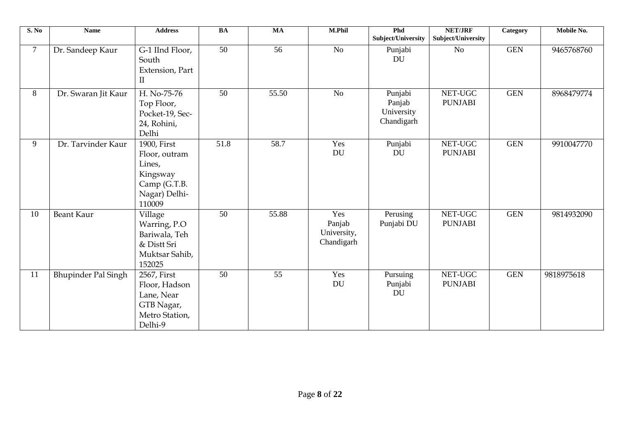| S. No          | <b>Name</b>                | <b>Address</b>                                                                                | <b>BA</b>       | <b>MA</b>       | M.Phil                                     | Phd<br>Subject/University                     | NET/JRF<br>Subject/University | Category   | Mobile No. |
|----------------|----------------------------|-----------------------------------------------------------------------------------------------|-----------------|-----------------|--------------------------------------------|-----------------------------------------------|-------------------------------|------------|------------|
| $\overline{7}$ | Dr. Sandeep Kaur           | G-1 IInd Floor,<br>South<br>Extension, Part<br>$\mathbf{I}$                                   | $\overline{50}$ | 56              | No                                         | Punjabi<br><b>DU</b>                          | N <sub>o</sub>                | <b>GEN</b> | 9465768760 |
| 8              | Dr. Swaran Jit Kaur        | H. No-75-76<br>Top Floor,<br>Pocket-19, Sec-<br>24, Rohini,<br>Delhi                          | 50              | 55.50           | N <sub>o</sub>                             | Punjabi<br>Panjab<br>University<br>Chandigarh | NET-UGC<br><b>PUNJABI</b>     | <b>GEN</b> | 8968479774 |
| 9              | Dr. Tarvinder Kaur         | 1900, First<br>Floor, outram<br>Lines,<br>Kingsway<br>Camp (G.T.B.<br>Nagar) Delhi-<br>110009 | 51.8            | 58.7            | Yes<br>DU                                  | Punjabi<br><b>DU</b>                          | NET-UGC<br><b>PUNJABI</b>     | <b>GEN</b> | 9910047770 |
| 10             | <b>Beant Kaur</b>          | Village<br>Warring, P.O<br>Bariwala, Teh<br>& Distt Sri<br>Muktsar Sahib,<br>152025           | $\overline{50}$ | 55.88           | Yes<br>Panjab<br>University,<br>Chandigarh | Perusing<br>Punjabi DU                        | NET-UGC<br><b>PUNJABI</b>     | <b>GEN</b> | 9814932090 |
| 11             | <b>Bhupinder Pal Singh</b> | 2567, First<br>Floor, Hadson<br>Lane, Near<br>GTB Nagar,<br>Metro Station,<br>Delhi-9         | $\overline{50}$ | $\overline{55}$ | Yes<br>DU                                  | Pursuing<br>Punjabi<br><b>DU</b>              | NET-UGC<br><b>PUNJABI</b>     | <b>GEN</b> | 9818975618 |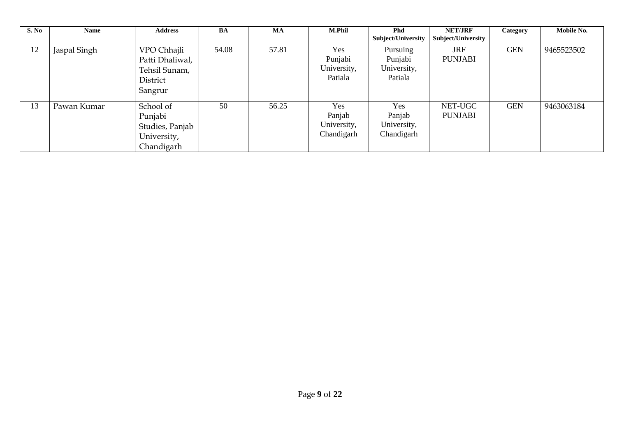| S. No | <b>Name</b>  | <b>Address</b>                                                         | BA    | <b>MA</b> | <b>M.Phil</b>                              | <b>Phd</b><br><b>Subject/University</b>       | <b>NET/JRF</b><br>Subject/University | Category   | Mobile No. |
|-------|--------------|------------------------------------------------------------------------|-------|-----------|--------------------------------------------|-----------------------------------------------|--------------------------------------|------------|------------|
| 12    | Jaspal Singh | VPO Chhajli<br>Patti Dhaliwal,<br>Tehsil Sunam,<br>District<br>Sangrur | 54.08 | 57.81     | Yes<br>Punjabi<br>University,<br>Patiala   | Pursuing<br>Punjabi<br>University,<br>Patiala | <b>JRF</b><br><b>PUNJABI</b>         | <b>GEN</b> | 9465523502 |
| 13    | Pawan Kumar  | School of<br>Punjabi<br>Studies, Panjab<br>University,<br>Chandigarh   | 50    | 56.25     | Yes<br>Panjab<br>University,<br>Chandigarh | Yes<br>Panjab<br>University,<br>Chandigarh    | NET-UGC<br><b>PUNJABI</b>            | <b>GEN</b> | 9463063184 |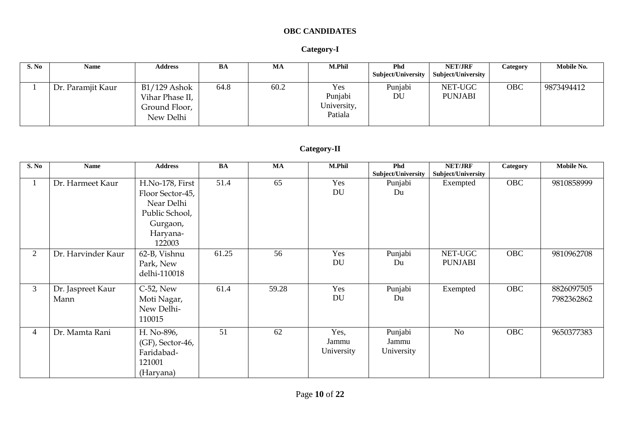### **OBC CANDIDATES**

#### **Category-I**

| S. No | Name              | <b>Address</b>                                                  | BA   | MA   | <b>M.Phil</b>                            | <b>Phd</b><br>Subject/University | <b>NET/JRF</b><br>Subject/University | Category   | Mobile No. |
|-------|-------------------|-----------------------------------------------------------------|------|------|------------------------------------------|----------------------------------|--------------------------------------|------------|------------|
|       | Dr. Paramjit Kaur | $B1/129$ Ashok<br>Vihar Phase II,<br>Ground Floor,<br>New Delhi | 64.8 | 60.2 | Yes<br>Punjabi<br>University,<br>Patiala | Punjabi<br>DU                    | NET-UGC<br><b>PUNJABI</b>            | <b>OBC</b> | 9873494412 |

### **Category-II**

| S. No          | <b>Name</b>               | <b>Address</b>                                                                                        | <b>BA</b> | $\mathbf{M}\mathbf{A}$ | M.Phil                      | Phd<br>Subject/University      | NET/JRF<br>Subject/University | Category   | Mobile No.               |
|----------------|---------------------------|-------------------------------------------------------------------------------------------------------|-----------|------------------------|-----------------------------|--------------------------------|-------------------------------|------------|--------------------------|
|                | Dr. Harmeet Kaur          | H.No-178, First<br>Floor Sector-45,<br>Near Delhi<br>Public School,<br>Gurgaon,<br>Haryana-<br>122003 | 51.4      | 65                     | Yes<br><b>DU</b>            | Punjabi<br>Du                  | Exempted                      | <b>OBC</b> | 9810858999               |
| $\overline{2}$ | Dr. Harvinder Kaur        | 62-B, Vishnu<br>Park, New<br>delhi-110018                                                             | 61.25     | 56                     | Yes<br><b>DU</b>            | Punjabi<br>Du                  | NET-UGC<br><b>PUNJABI</b>     | <b>OBC</b> | 9810962708               |
| 3              | Dr. Jaspreet Kaur<br>Mann | C-52, New<br>Moti Nagar,<br>New Delhi-<br>110015                                                      | 61.4      | 59.28                  | Yes<br>DU                   | Punjabi<br>Du                  | Exempted                      | OBC        | 8826097505<br>7982362862 |
| 4              | Dr. Mamta Rani            | H. No-896,<br>(GF), Sector-46,<br>Faridabad-<br>121001<br>(Haryana)                                   | 51        | 62                     | Yes,<br>Jammu<br>University | Punjabi<br>Jammu<br>University | No                            | <b>OBC</b> | 9650377383               |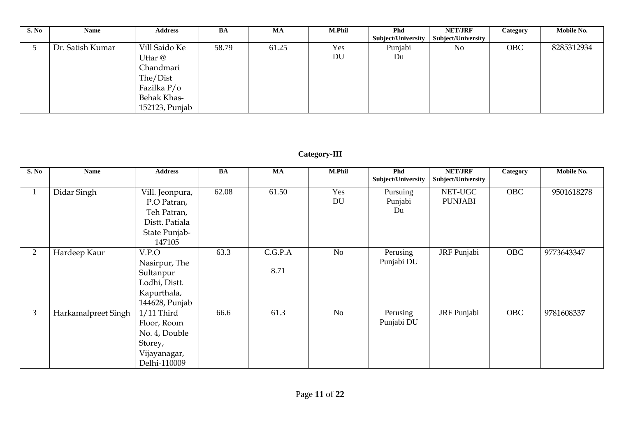| S. No | Name             | <b>Address</b>                                                                                    | BA    | MA    | <b>M.Phil</b> | <b>Phd</b><br>Subject/University | <b>NET/JRF</b><br>Subject/University | Category   | Mobile No. |
|-------|------------------|---------------------------------------------------------------------------------------------------|-------|-------|---------------|----------------------------------|--------------------------------------|------------|------------|
|       | Dr. Satish Kumar | Vill Saido Ke<br>Uttar @<br>Chandmari<br>The/Dist<br>Fazilka P/o<br>Behak Khas-<br>152123, Punjab | 58.79 | 61.25 | Yes<br>DU     | Punjabi<br>Du                    | No                                   | <b>OBC</b> | 8285312934 |

### **Category-III**

| S. No          | <b>Name</b>         | <b>Address</b>                                                                             | <b>BA</b> | <b>MA</b>       | <b>M.Phil</b>  | <b>Phd</b><br>Subject/University | NET/JRF<br>Subject/University | Category   | Mobile No. |
|----------------|---------------------|--------------------------------------------------------------------------------------------|-----------|-----------------|----------------|----------------------------------|-------------------------------|------------|------------|
|                | Didar Singh         | Vill. Jeonpura,<br>P.O Patran,<br>Teh Patran,<br>Distt. Patiala<br>State Punjab-<br>147105 | 62.08     | 61.50           | Yes<br>DU      | Pursuing<br>Punjabi<br>Du        | NET-UGC<br><b>PUNJABI</b>     | <b>OBC</b> | 9501618278 |
| 2              | Hardeep Kaur        | V.P.O<br>Nasirpur, The<br>Sultanpur<br>Lodhi, Distt.<br>Kapurthala,<br>144628, Punjab      | 63.3      | C.G.P.A<br>8.71 | N <sub>o</sub> | Perusing<br>Punjabi DU           | JRF Punjabi                   | <b>OBC</b> | 9773643347 |
| 3 <sup>1</sup> | Harkamalpreet Singh | $1/11$ Third<br>Floor, Room<br>No. 4, Double<br>Storey,<br>Vijayanagar,<br>Delhi-110009    | 66.6      | 61.3            | N <sub>o</sub> | Perusing<br>Punjabi DU           | JRF Punjabi                   | <b>OBC</b> | 9781608337 |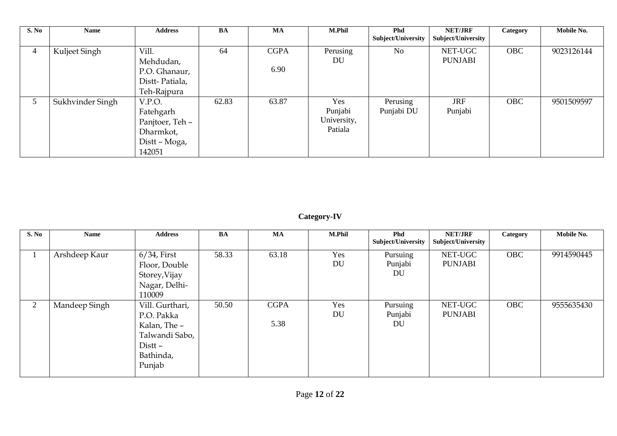| S. No       | <b>Name</b>      | <b>Address</b>                                                                 | <b>BA</b> | <b>MA</b>           | <b>M.Phil</b>                            | <b>Phd</b><br>Subject/University | <b>NET/JRF</b><br>Subject/University | Category   | Mobile No. |
|-------------|------------------|--------------------------------------------------------------------------------|-----------|---------------------|------------------------------------------|----------------------------------|--------------------------------------|------------|------------|
| 4           | Kuljeet Singh    | Vill.<br>Mehdudan,<br>P.O. Ghanaur,<br>Distt-Patiala,<br>Teh-Rajpura           | 64        | <b>CGPA</b><br>6.90 | Perusing<br>DU                           | No                               | NET-UGC<br><b>PUNJABI</b>            | <b>OBC</b> | 9023126144 |
| $5^{\circ}$ | Sukhvinder Singh | V.P.O.<br>Fatehgarh<br>Panjtoer, Teh -<br>Dharmkot,<br>Distt - Moga,<br>142051 | 62.83     | 63.87               | Yes<br>Punjabi<br>University,<br>Patiala | Perusing<br>Punjabi DU           | <b>JRF</b><br>Punjabi                | <b>OBC</b> | 9501509597 |

**Category-IV**

| S. No | Name          | <b>Address</b>                                                                                   | <b>BA</b> | MA                  | <b>M.Phil</b> | Phd<br><b>Subject/University</b> | <b>NET/JRF</b><br>Subject/University | Category   | Mobile No. |
|-------|---------------|--------------------------------------------------------------------------------------------------|-----------|---------------------|---------------|----------------------------------|--------------------------------------|------------|------------|
|       | Arshdeep Kaur | $6/34$ , First<br>Floor, Double<br>Storey, Vijay<br>Nagar, Delhi-<br>110009                      | 58.33     | 63.18               | Yes<br>DU     | Pursuing<br>Punjabi<br>DU        | NET-UGC<br><b>PUNJABI</b>            | <b>OBC</b> | 9914590445 |
| 2     | Mandeep Singh | Vill. Gurthari,<br>P.O. Pakka<br>Kalan, The -<br>Talwandi Sabo,<br>Distt-<br>Bathinda,<br>Punjab | 50.50     | <b>CGPA</b><br>5.38 | Yes<br>DU     | Pursuing<br>Punjabi<br><b>DU</b> | NET-UGC<br><b>PUNJABI</b>            | <b>OBC</b> | 9555635430 |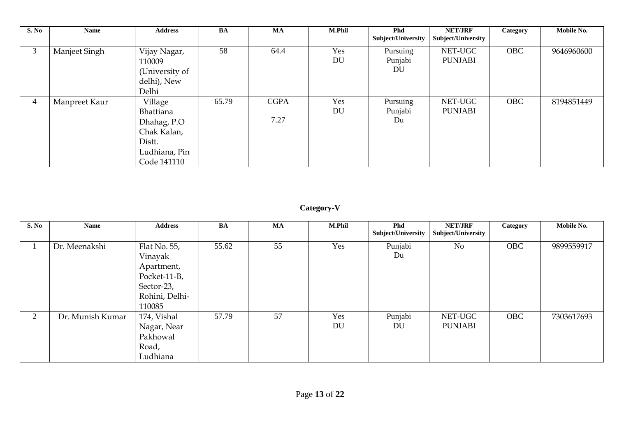| S. No | Name          | <b>Address</b>                                                                               | BA    | <b>MA</b>           | <b>M.Phil</b>    | Phd<br>Subject/University | <b>NET/JRF</b><br>Subject/University | Category   | Mobile No. |
|-------|---------------|----------------------------------------------------------------------------------------------|-------|---------------------|------------------|---------------------------|--------------------------------------|------------|------------|
| 3     | Manjeet Singh | Vijay Nagar,<br>110009<br>(University of<br>delhi), New<br>Delhi                             | 58    | 64.4                | Yes<br><b>DU</b> | Pursuing<br>Punjabi<br>DU | NET-UGC<br><b>PUNJABI</b>            | <b>OBC</b> | 9646960600 |
| 4     | Manpreet Kaur | Village<br>Bhattiana<br>Dhahag, P.O<br>Chak Kalan,<br>Distt.<br>Ludhiana, Pin<br>Code 141110 | 65.79 | <b>CGPA</b><br>7.27 | Yes<br>DU        | Pursuing<br>Punjabi<br>Du | NET-UGC<br><b>PUNJABI</b>            | <b>OBC</b> | 8194851449 |

### **Category-V**

| S. No          | Name             | <b>Address</b>                                                                                  | <b>BA</b> | <b>MA</b> | <b>M.Phil</b> | <b>Phd</b><br>Subject/University | <b>NET/JRF</b><br>Subject/University | Category   | Mobile No. |
|----------------|------------------|-------------------------------------------------------------------------------------------------|-----------|-----------|---------------|----------------------------------|--------------------------------------|------------|------------|
|                | Dr. Meenakshi    | Flat No. 55,<br>Vinayak<br>Apartment,<br>Pocket-11-B,<br>Sector-23,<br>Rohini, Delhi-<br>110085 | 55.62     | 55        | Yes           | Punjabi<br>Du                    | N <sub>o</sub>                       | <b>OBC</b> | 9899559917 |
| $\overline{2}$ | Dr. Munish Kumar | 174, Vishal<br>Nagar, Near<br>Pakhowal<br>Road,<br>Ludhiana                                     | 57.79     | 57        | Yes<br>DU     | Punjabi<br>DU                    | NET-UGC<br><b>PUNJABI</b>            | <b>OBC</b> | 7303617693 |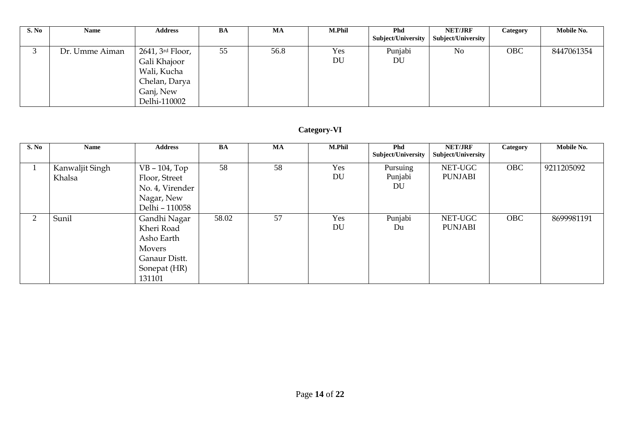| S. No | Name           | <b>Address</b>                                                                                | BA | МA   | M.Phil    | Phd<br>Subject/University | <b>NET/JRF</b><br>Subject/University | Category | Mobile No. |
|-------|----------------|-----------------------------------------------------------------------------------------------|----|------|-----------|---------------------------|--------------------------------------|----------|------------|
|       | Dr. Umme Aiman | 2641, 3rd Floor,<br>Gali Khajoor<br>Wali, Kucha<br>Chelan, Darya<br>Ganj, New<br>Delhi-110002 | 55 | 56.8 | Yes<br>DU | Punjabi<br>DU             | No                                   | OBC      | 8447061354 |

### **Category-VI**

| S. No          | Name                      | <b>Address</b>                                                                                       | <b>BA</b> | <b>MA</b> | <b>M.Phil</b> | <b>Phd</b><br><b>Subject/University</b> | <b>NET/JRF</b><br>Subject/University | Category   | Mobile No. |
|----------------|---------------------------|------------------------------------------------------------------------------------------------------|-----------|-----------|---------------|-----------------------------------------|--------------------------------------|------------|------------|
|                | Kanwaljit Singh<br>Khalsa | $VB - 104$ , Top<br>Floor, Street<br>No. 4, Virender<br>Nagar, New<br>Delhi - 110058                 | 58        | 58        | Yes<br>DU     | Pursuing<br>Punjabi<br>DU               | NET-UGC<br><b>PUNJABI</b>            | <b>OBC</b> | 9211205092 |
| $\overline{2}$ | Sunil                     | Gandhi Nagar<br>Kheri Road<br>Asho Earth<br><b>Movers</b><br>Ganaur Distt.<br>Sonepat (HR)<br>131101 | 58.02     | 57        | Yes<br>DU     | Punjabi<br>Du                           | NET-UGC<br><b>PUNJABI</b>            | <b>OBC</b> | 8699981191 |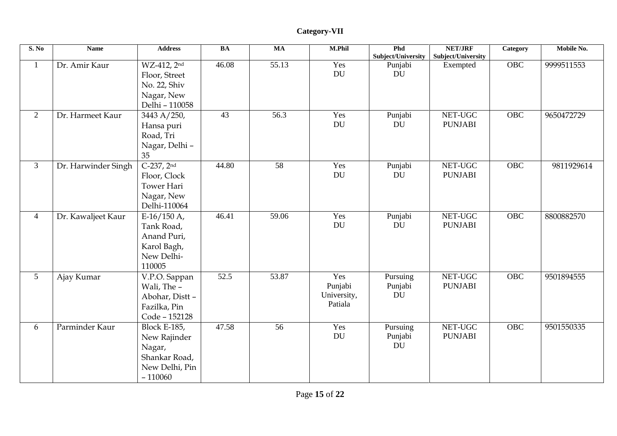| S. No           | <b>Name</b>         | <b>Address</b>                                                                                | BA    | <b>MA</b> | <b>M.Phil</b>                            | Phd<br>Subject/University        | <b>NET/JRF</b><br>Subject/University | <b>Category</b> | Mobile No. |
|-----------------|---------------------|-----------------------------------------------------------------------------------------------|-------|-----------|------------------------------------------|----------------------------------|--------------------------------------|-----------------|------------|
| $\mathbf{1}$    | Dr. Amir Kaur       | WZ-412, 2nd<br>Floor, Street<br>No. 22, Shiv<br>Nagar, New<br>Delhi - 110058                  | 46.08 | 55.13     | Yes<br><b>DU</b>                         | Punjabi<br>DU                    | Exempted                             | OBC             | 9999511553 |
| $\overline{2}$  | Dr. Harmeet Kaur    | 3443 A/250,<br>Hansa puri<br>Road, Tri<br>Nagar, Delhi-<br>35                                 | 43    | 56.3      | Yes<br><b>DU</b>                         | Punjabi<br><b>DU</b>             | NET-UGC<br><b>PUNJABI</b>            | <b>OBC</b>      | 9650472729 |
| $\overline{3}$  | Dr. Harwinder Singh | $C-237, 2nd$<br>Floor, Clock<br><b>Tower Hari</b><br>Nagar, New<br>Delhi-110064               | 44.80 | 58        | Yes<br><b>DU</b>                         | Punjabi<br><b>DU</b>             | NET-UGC<br><b>PUNJABI</b>            | OBC             | 9811929614 |
| $\overline{4}$  | Dr. Kawaljeet Kaur  | $E-16/150$ A,<br>Tank Road,<br>Anand Puri,<br>Karol Bagh,<br>New Delhi-<br>110005             | 46.41 | 59.06     | Yes<br>DU                                | Punjabi<br>DU                    | NET-UGC<br><b>PUNJABI</b>            | OBC             | 8800882570 |
| $5\overline{)}$ | Ajay Kumar          | V.P.O. Sappan<br>Wali, The -<br>Abohar, Distt-<br>Fazilka, Pin<br>Code - 152128               | 52.5  | 53.87     | Yes<br>Punjabi<br>University,<br>Patiala | Pursuing<br>Punjabi<br>DU        | NET-UGC<br><b>PUNJABI</b>            | OBC             | 9501894555 |
| 6               | Parminder Kaur      | <b>Block E-185,</b><br>New Rajinder<br>Nagar,<br>Shankar Road,<br>New Delhi, Pin<br>$-110060$ | 47.58 | 56        | Yes<br><b>DU</b>                         | Pursuing<br>Punjabi<br><b>DU</b> | NET-UGC<br><b>PUNJABI</b>            | <b>OBC</b>      | 9501550335 |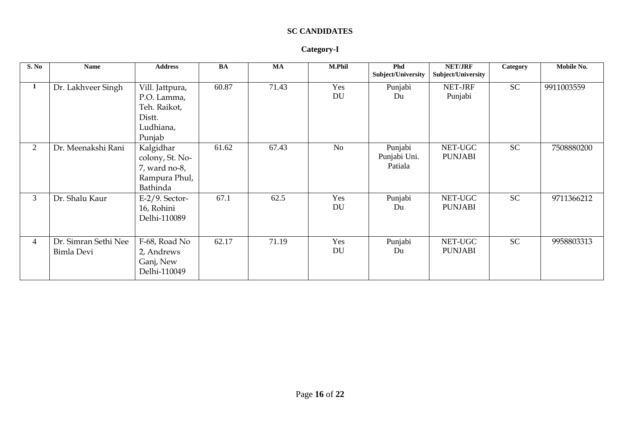### **SC CANDIDATES**

#### **Category-I**

| S. No          | <b>Name</b>                        | <b>Address</b>                                                                  | <b>BA</b> | MA    | M.Phil           | Phd<br>Subject/University          | <b>NET/JRF</b><br>Subject/University | Category  | Mobile No. |
|----------------|------------------------------------|---------------------------------------------------------------------------------|-----------|-------|------------------|------------------------------------|--------------------------------------|-----------|------------|
| 1              | Dr. Lakhveer Singh                 | Vill. Jattpura,<br>P.O. Lamma,<br>Teh. Raikot,<br>Distt.<br>Ludhiana,<br>Punjab | 60.87     | 71.43 | Yes<br>DU        | Punjabi<br>Du                      | NET-JRF<br>Punjabi                   | <b>SC</b> | 9911003559 |
| $\overline{2}$ | Dr. Meenakshi Rani                 | Kalgidhar<br>colony, St. No-<br>7, ward no-8,<br>Rampura Phul,<br>Bathinda      | 61.62     | 67.43 | No               | Punjabi<br>Punjabi Uni.<br>Patiala | NET-UGC<br><b>PUNJABI</b>            | <b>SC</b> | 7508880200 |
| 3              | Dr. Shalu Kaur                     | $E-2/9$ . Sector-<br>16, Rohini<br>Delhi-110089                                 | 67.1      | 62.5  | Yes<br>DU        | Punjabi<br>Du                      | NET-UGC<br><b>PUNJABI</b>            | <b>SC</b> | 9711366212 |
| 4              | Dr. Simran Sethi Nee<br>Bimla Devi | F-68, Road No<br>2, Andrews<br>Ganj, New<br>Delhi-110049                        | 62.17     | 71.19 | Yes<br><b>DU</b> | Punjabi<br>Du                      | NET-UGC<br><b>PUNJABI</b>            | <b>SC</b> | 9958803313 |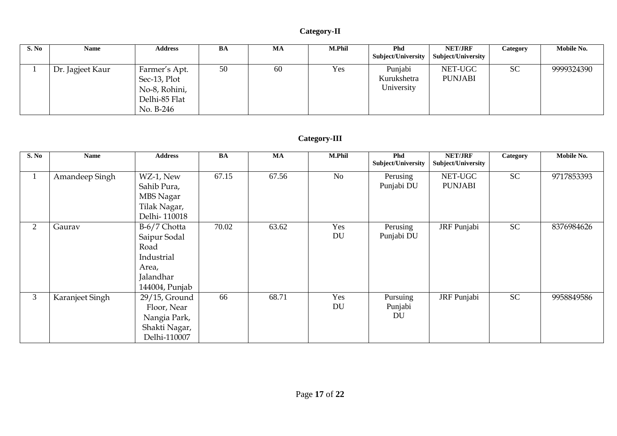### **Category-II**

| S. No | Name             | <b>Address</b>                                                               | BA | MA | <b>M.Phil</b> | <b>Phd</b>                           | <b>NET/JRF</b>            | Category  | Mobile No. |
|-------|------------------|------------------------------------------------------------------------------|----|----|---------------|--------------------------------------|---------------------------|-----------|------------|
|       |                  |                                                                              |    |    |               | Subject/University                   | Subject/University        |           |            |
|       | Dr. Jagjeet Kaur | Farmer's Apt.<br>Sec-13, Plot<br>No-8, Rohini,<br>Delhi-85 Flat<br>No. B-246 | 50 | 60 | Yes           | Punjabi<br>Kurukshetra<br>University | NET-UGC<br><b>PUNJABI</b> | <b>SC</b> | 9999324390 |

### **Category-III**

| S. No          | <b>Name</b>     | <b>Address</b>                                                                             | <b>BA</b> | <b>MA</b> | M.Phil           | Phd<br>Subject/University        | NET/JRF<br>Subject/University | Category  | Mobile No. |
|----------------|-----------------|--------------------------------------------------------------------------------------------|-----------|-----------|------------------|----------------------------------|-------------------------------|-----------|------------|
| $\perp$        | Amandeep Singh  | WZ-1, New<br>Sahib Pura,<br>MBS Nagar<br>Tilak Nagar,<br>Delhi-110018                      | 67.15     | 67.56     | N <sub>o</sub>   | Perusing<br>Punjabi DU           | NET-UGC<br><b>PUNJABI</b>     | <b>SC</b> | 9717853393 |
| $\overline{2}$ | Gaurav          | B-6/7 Chotta<br>Saipur Sodal<br>Road<br>Industrial<br>Area,<br>Jalandhar<br>144004, Punjab | 70.02     | 63.62     | Yes<br><b>DU</b> | Perusing<br>Punjabi DU           | JRF Punjabi                   | <b>SC</b> | 8376984626 |
| $\mathfrak{Z}$ | Karanjeet Singh | 29/15, Ground<br>Floor, Near<br>Nangia Park,<br>Shakti Nagar,<br>Delhi-110007              | 66        | 68.71     | Yes<br>DU        | Pursuing<br>Punjabi<br><b>DU</b> | JRF Punjabi                   | <b>SC</b> | 9958849586 |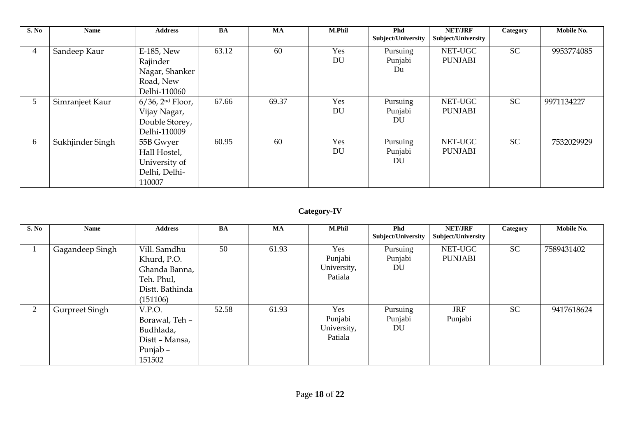| S. No           | <b>Name</b>      | <b>Address</b>                                                           | BA    | <b>MA</b> | M.Phil    | <b>Phd</b><br>Subject/University | <b>NET/JRF</b><br>Subject/University | Category  | Mobile No. |
|-----------------|------------------|--------------------------------------------------------------------------|-------|-----------|-----------|----------------------------------|--------------------------------------|-----------|------------|
| 4               | Sandeep Kaur     | E-185, New<br>Rajinder<br>Nagar, Shanker<br>Road, New<br>Delhi-110060    | 63.12 | 60        | Yes<br>DU | Pursuing<br>Punjabi<br>Du        | NET-UGC<br><b>PUNJABI</b>            | <b>SC</b> | 9953774085 |
| $5\overline{)}$ | Simranjeet Kaur  | $6/36$ , $2nd Floor$ ,<br>Vijay Nagar,<br>Double Storey,<br>Delhi-110009 | 67.66 | 69.37     | Yes<br>DU | Pursuing<br>Punjabi<br>DU        | NET-UGC<br><b>PUNJABI</b>            | <b>SC</b> | 9971134227 |
| 6               | Sukhjinder Singh | 55B Gwyer<br>Hall Hostel,<br>University of<br>Delhi, Delhi-<br>110007    | 60.95 | 60        | Yes<br>DU | Pursuing<br>Punjabi<br>DU        | NET-UGC<br><b>PUNJABI</b>            | <b>SC</b> | 7532029929 |

### **Category-IV**

| S. No          | <b>Name</b>           | <b>Address</b>  | <b>BA</b> | <b>MA</b> | <b>M.Phil</b> | <b>Phd</b><br>Subject/University | <b>NET/JRF</b><br>Subject/University | Category  | Mobile No. |
|----------------|-----------------------|-----------------|-----------|-----------|---------------|----------------------------------|--------------------------------------|-----------|------------|
|                |                       |                 |           |           |               |                                  |                                      |           |            |
|                | Gagandeep Singh       | Vill. Samdhu    | 50        | 61.93     | Yes           | Pursuing                         | NET-UGC                              | SC        | 7589431402 |
|                |                       | Khurd, P.O.     |           |           | Punjabi       | Punjabi                          | <b>PUNJABI</b>                       |           |            |
|                |                       | Ghanda Banna,   |           |           | University,   | DU                               |                                      |           |            |
|                |                       | Teh. Phul,      |           |           | Patiala       |                                  |                                      |           |            |
|                |                       | Distt. Bathinda |           |           |               |                                  |                                      |           |            |
|                |                       | (151106)        |           |           |               |                                  |                                      |           |            |
| $\overline{2}$ | <b>Gurpreet Singh</b> | V.P.O.          | 52.58     | 61.93     | Yes           | Pursuing                         | <b>JRF</b>                           | <b>SC</b> | 9417618624 |
|                |                       | Borawal, Teh -  |           |           | Punjabi       | Punjabi                          | Punjabi                              |           |            |
|                |                       | Budhlada,       |           |           | University,   | DU                               |                                      |           |            |
|                |                       | Distt - Mansa,  |           |           | Patiala       |                                  |                                      |           |            |
|                |                       | Punjab –        |           |           |               |                                  |                                      |           |            |
|                |                       | 151502          |           |           |               |                                  |                                      |           |            |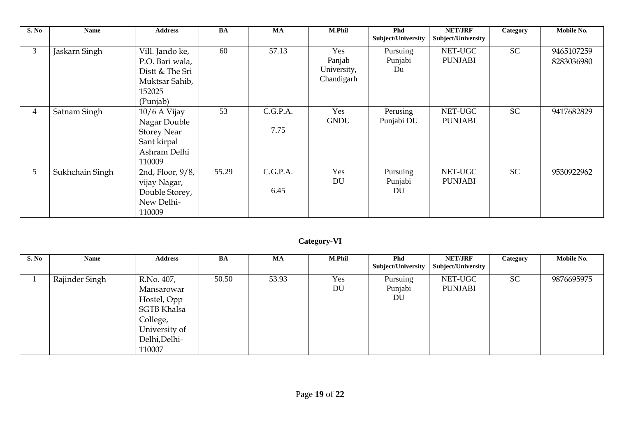| S. No          | <b>Name</b>     | <b>Address</b>                                                                                | <b>BA</b> | <b>MA</b>        | <b>M.Phil</b>                              | <b>Phd</b><br>Subject/University | <b>NET/JRF</b><br>Subject/University | Category  | Mobile No.               |
|----------------|-----------------|-----------------------------------------------------------------------------------------------|-----------|------------------|--------------------------------------------|----------------------------------|--------------------------------------|-----------|--------------------------|
| 3              | Jaskarn Singh   | Vill. Jando ke,<br>P.O. Bari wala,<br>Distt & The Sri<br>Muktsar Sahib,<br>152025<br>(Punjab) | 60        | 57.13            | Yes<br>Panjab<br>University,<br>Chandigarh | Pursuing<br>Punjabi<br>Du        | NET-UGC<br><b>PUNJABI</b>            | <b>SC</b> | 9465107259<br>8283036980 |
| $\overline{4}$ | Satnam Singh    | $10/6$ A Vijay<br>Nagar Double<br><b>Storey Near</b><br>Sant kirpal<br>Ashram Delhi<br>110009 | 53        | C.G.P.A.<br>7.75 | Yes<br><b>GNDU</b>                         | Perusing<br>Punjabi DU           | NET-UGC<br><b>PUNJABI</b>            | <b>SC</b> | 9417682829               |
| 5 <sup>5</sup> | Sukhchain Singh | 2nd, Floor, 9/8,<br>vijay Nagar,<br>Double Storey,<br>New Delhi-<br>110009                    | 55.29     | C.G.P.A.<br>6.45 | Yes<br>DU                                  | Pursuing<br>Punjabi<br><b>DU</b> | NET-UGC<br><b>PUNJABI</b>            | <b>SC</b> | 9530922962               |

### **Category-VI**

| S. No | <b>Name</b>    | <b>Address</b>                                                                                                        | BA    | MA    | <b>M.Phil</b> | <b>Phd</b><br>Subject/University | <b>NET/JRF</b><br>Subject/University | Category  | Mobile No. |
|-------|----------------|-----------------------------------------------------------------------------------------------------------------------|-------|-------|---------------|----------------------------------|--------------------------------------|-----------|------------|
|       | Rajinder Singh | R.No. 407,<br>Mansarowar<br>Hostel, Opp<br><b>SGTB Khalsa</b><br>College,<br>University of<br>Delhi, Delhi-<br>110007 | 50.50 | 53.93 | Yes<br>DU     | Pursuing<br>Punjabi<br>DU        | NET-UGC<br><b>PUNJABI</b>            | <b>SC</b> | 9876695975 |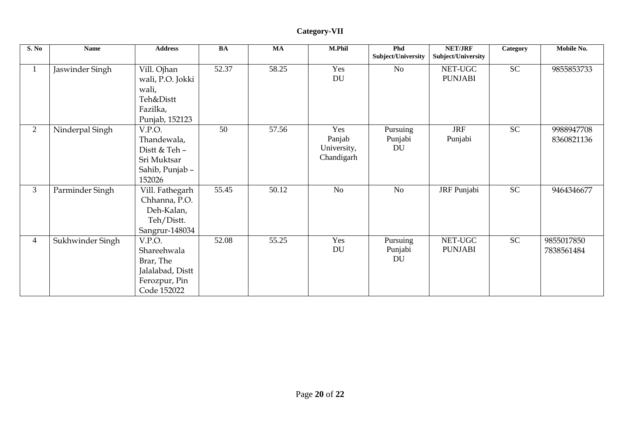| S. No          | <b>Name</b>      | <b>Address</b>                                                                         | <b>BA</b> | $\mathbf{M}\mathbf{A}$ | M.Phil                                     | Phd<br>Subject/University | <b>NET/JRF</b><br>Subject/University | Category  | Mobile No.               |
|----------------|------------------|----------------------------------------------------------------------------------------|-----------|------------------------|--------------------------------------------|---------------------------|--------------------------------------|-----------|--------------------------|
| $\perp$        | Jaswinder Singh  | Vill. Ojhan<br>wali, P.O. Jokki<br>wali,<br>Teh&Distt<br>Fazilka,<br>Punjab, 152123    | 52.37     | 58.25                  | Yes<br>DU                                  | <b>No</b>                 | NET-UGC<br><b>PUNJABI</b>            | <b>SC</b> | 9855853733               |
| $\overline{2}$ | Ninderpal Singh  | V.P.O.<br>Thandewala,<br>Distt & Teh -<br>Sri Muktsar<br>Sahib, Punjab -<br>152026     | 50        | 57.56                  | Yes<br>Panjab<br>University,<br>Chandigarh | Pursuing<br>Punjabi<br>DU | <b>JRF</b><br>Punjabi                | <b>SC</b> | 9988947708<br>8360821136 |
| 3 <sup>1</sup> | Parminder Singh  | Vill. Fathegarh<br>Chhanna, P.O.<br>Deh-Kalan,<br>Teh/Distt.<br>Sangrur-148034         | 55.45     | 50.12                  | N <sub>o</sub>                             | <b>No</b>                 | JRF Punjabi                          | <b>SC</b> | 9464346677               |
| $\overline{4}$ | Sukhwinder Singh | V.P.O.<br>Shareehwala<br>Brar, The<br>Jalalabad, Distt<br>Ferozpur, Pin<br>Code 152022 | 52.08     | 55.25                  | Yes<br>DU                                  | Pursuing<br>Punjabi<br>DU | NET-UGC<br><b>PUNJABI</b>            | <b>SC</b> | 9855017850<br>7838561484 |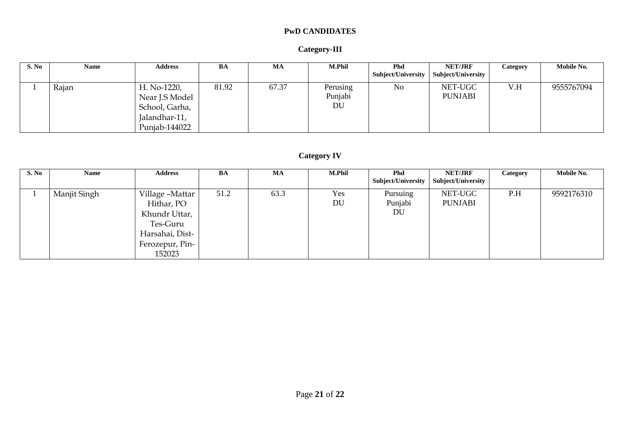### **PwD CANDIDATES**

#### **Category-III**

| S. No | Name  | <b>Address</b> | BA    | MA    | <b>M.Phil</b> | <b>Phd</b><br>Subject/University | <b>NET/JRF</b><br>Subject/University | Category | Mobile No. |
|-------|-------|----------------|-------|-------|---------------|----------------------------------|--------------------------------------|----------|------------|
|       |       |                |       |       |               |                                  |                                      |          |            |
|       | Rajan | H. No-1220,    | 81.92 | 67.37 | Perusing      | No                               | NET-UGC                              | V.H      | 9555767094 |
|       |       | Near J.S Model |       |       | Punjabi       |                                  | <b>PUNJABI</b>                       |          |            |
|       |       | School, Garha, |       |       | DU            |                                  |                                      |          |            |
|       |       | Jalandhar-11,  |       |       |               |                                  |                                      |          |            |
|       |       | Punjab-144022  |       |       |               |                                  |                                      |          |            |

### **Category IV**

| S. No | <b>Name</b>  | <b>Address</b>                                                                                             | BA   | MA   | <b>M.Phil</b> | <b>Phd</b><br>Subject/University | <b>NET/JRF</b><br><b>Subject/University</b> | Category | Mobile No. |
|-------|--------------|------------------------------------------------------------------------------------------------------------|------|------|---------------|----------------------------------|---------------------------------------------|----------|------------|
|       | Manjit Singh | Village -Mattar<br>Hithar, PO<br>Khundr Uttar,<br>Tes-Guru<br>Harsahai, Dist-<br>Ferozepur, Pin-<br>152023 | 51.2 | 63.3 | Yes<br>DU     | Pursuing<br>Punjabi<br>DU        | NET-UGC<br><b>PUNJABI</b>                   | P.H      | 9592176310 |